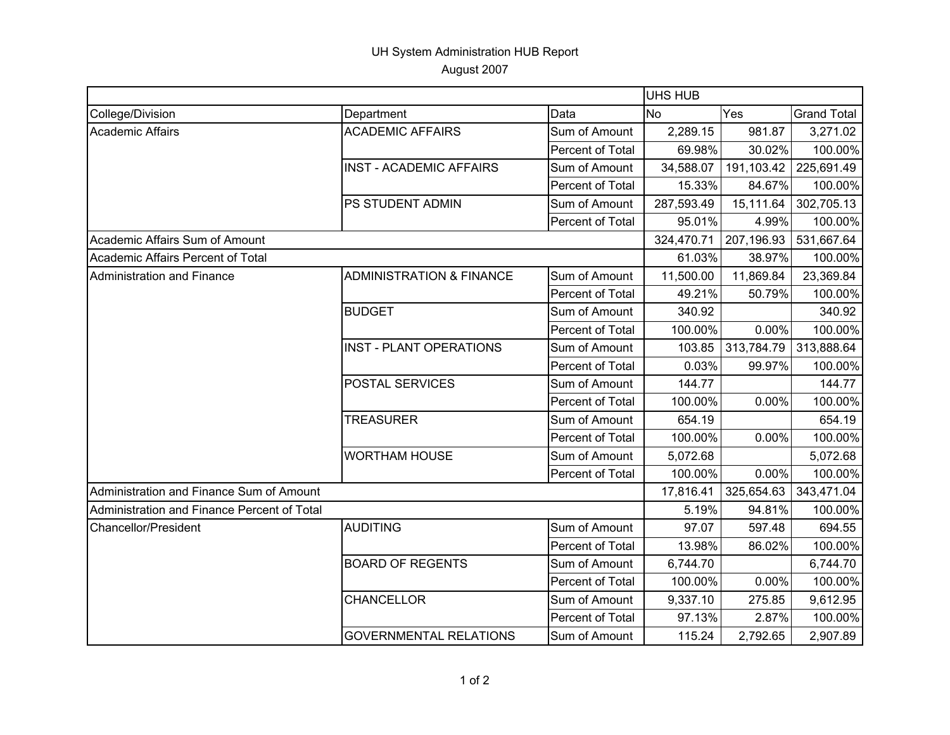## UH System Administration HUB Report August 2007

|                                             |                                     |                  | <b>UHS HUB</b> |            |                    |  |
|---------------------------------------------|-------------------------------------|------------------|----------------|------------|--------------------|--|
| College/Division                            | Department                          | Data             | <b>No</b>      | Yes        | <b>Grand Total</b> |  |
| <b>Academic Affairs</b>                     | <b>ACADEMIC AFFAIRS</b>             | Sum of Amount    | 2,289.15       | 981.87     | 3,271.02           |  |
|                                             |                                     | Percent of Total | 69.98%         | 30.02%     | 100.00%            |  |
|                                             | <b>INST - ACADEMIC AFFAIRS</b>      | Sum of Amount    | 34,588.07      | 191,103.42 | 225,691.49         |  |
|                                             |                                     | Percent of Total | 15.33%         | 84.67%     | 100.00%            |  |
|                                             | PS STUDENT ADMIN                    | Sum of Amount    | 287,593.49     | 15,111.64  | 302,705.13         |  |
|                                             |                                     | Percent of Total | 95.01%         | 4.99%      | 100.00%            |  |
| Academic Affairs Sum of Amount              |                                     |                  | 324,470.71     | 207,196.93 | 531,667.64         |  |
| Academic Affairs Percent of Total           |                                     |                  | 61.03%         | 38.97%     | 100.00%            |  |
| <b>Administration and Finance</b>           | <b>ADMINISTRATION &amp; FINANCE</b> | Sum of Amount    | 11,500.00      | 11,869.84  | 23,369.84          |  |
|                                             |                                     | Percent of Total | 49.21%         | 50.79%     | 100.00%            |  |
|                                             | <b>BUDGET</b>                       | Sum of Amount    | 340.92         |            | 340.92             |  |
|                                             |                                     | Percent of Total | 100.00%        | $0.00\%$   | 100.00%            |  |
|                                             | <b>INST - PLANT OPERATIONS</b>      | Sum of Amount    | 103.85         | 313,784.79 | 313,888.64         |  |
|                                             |                                     | Percent of Total | 0.03%          | 99.97%     | 100.00%            |  |
|                                             | POSTAL SERVICES                     | Sum of Amount    | 144.77         |            | 144.77             |  |
|                                             |                                     | Percent of Total | 100.00%        | 0.00%      | 100.00%            |  |
|                                             | <b>TREASURER</b>                    | Sum of Amount    | 654.19         |            | 654.19             |  |
|                                             |                                     | Percent of Total | 100.00%        | 0.00%      | 100.00%            |  |
|                                             | <b>WORTHAM HOUSE</b>                | Sum of Amount    | 5,072.68       |            | 5,072.68           |  |
|                                             |                                     | Percent of Total | 100.00%        | $0.00\%$   | 100.00%            |  |
| Administration and Finance Sum of Amount    |                                     |                  | 17,816.41      | 325,654.63 | 343,471.04         |  |
| Administration and Finance Percent of Total |                                     |                  | 5.19%          | 94.81%     | 100.00%            |  |
| Chancellor/President                        | <b>AUDITING</b>                     | Sum of Amount    | 97.07          | 597.48     | 694.55             |  |
|                                             |                                     | Percent of Total | 13.98%         | 86.02%     | 100.00%            |  |
|                                             | <b>BOARD OF REGENTS</b>             | Sum of Amount    | 6,744.70       |            | 6,744.70           |  |
|                                             |                                     | Percent of Total | 100.00%        | 0.00%      | 100.00%            |  |
|                                             | <b>CHANCELLOR</b>                   | Sum of Amount    | 9,337.10       | 275.85     | 9,612.95           |  |
|                                             |                                     | Percent of Total | 97.13%         | 2.87%      | 100.00%            |  |
|                                             | <b>GOVERNMENTAL RELATIONS</b>       | Sum of Amount    | 115.24         | 2,792.65   | 2,907.89           |  |